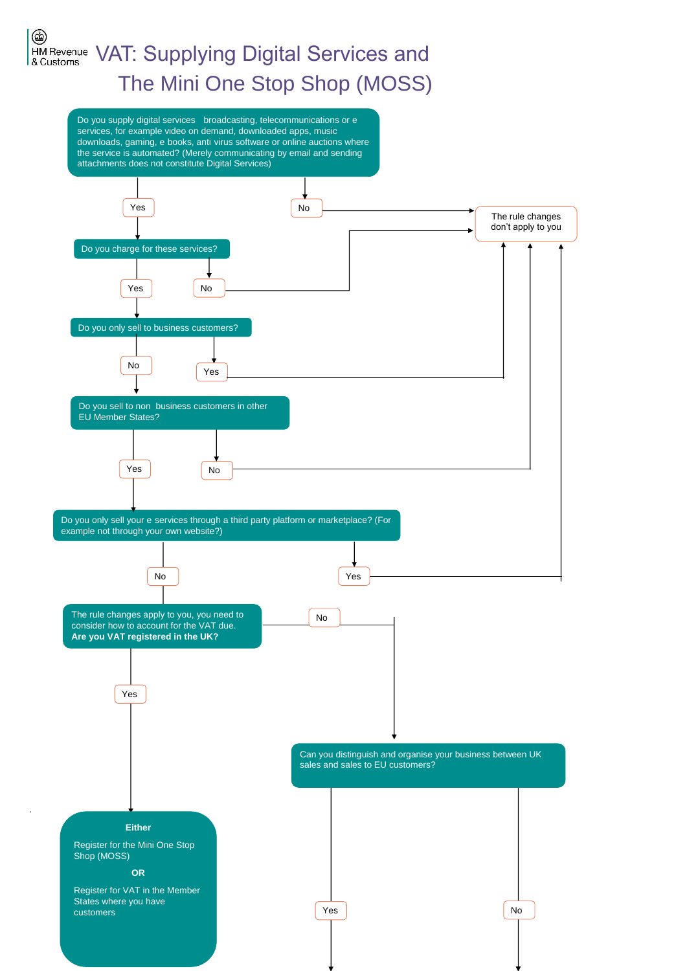# ۳ HM Revenue VAT: Supplying Digital Services and & Customs The Mini One Stop Shop (MOSS)

Do you supply digital services broadcasting, telecommunications or e downloads, gaming, e books, anti virus software or online auctions where the service is automated? (Merely communicating by email and sending attachments does not constitute Digital Services) services, for example video on demand, downloaded apps, music